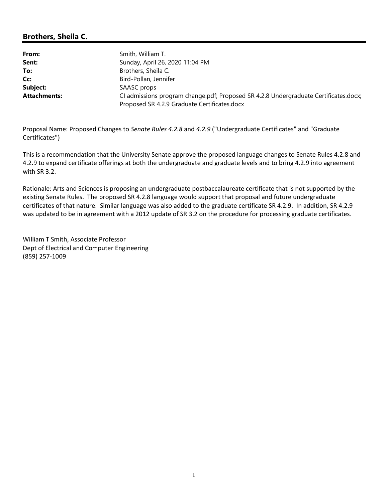# Brothers, Sheila C.

From: Smith, William T. Sent: Sunday, April 26, 2020 11:04 PM To: Brothers, Sheila C. Cc: Bird-Pollan, Jennifer Subject: SAASC props Attachments: CI admissions program change.pdf; Proposed SR 4.2.8 Undergraduate Certificates.docx; Proposed SR 4.2.9 Graduate Certificates.docx

Proposal Name: Proposed Changes to Senate Rules 4.2.8 and 4.2.9 ("Undergraduate Certificates" and "Graduate Certificates")

This is a recommendation that the University Senate approve the proposed language changes to Senate Rules 4.2.8 and 4.2.9 to expand certificate offerings at both the undergraduate and graduate levels and to bring 4.2.9 into agreement with SR 3.2.

Rationale: Arts and Sciences is proposing an undergraduate postbaccalaureate certificate that is not supported by the existing Senate Rules. The proposed SR 4.2.8 language would support that proposal and future undergraduate certificates of that nature. Similar language was also added to the graduate certificate SR 4.2.9. In addition, SR 4.2.9 was updated to be in agreement with a 2012 update of SR 3.2 on the procedure for processing graduate certificates.

William T Smith, Associate Professor Dept of Electrical and Computer Engineering (859) 257-1009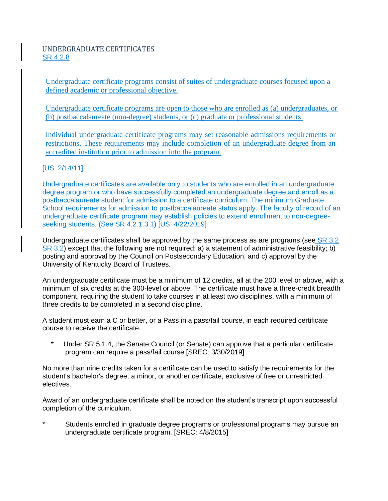## UNDERGRADUATE CERTIFICATES SR 4.2.8

Undergraduate certificate programs consist of suites of undergraduate courses focused upon a defined academic or professional objective.

Undergraduate certificate programs are open to those who are enrolled as (a) undergraduates, or (b) postbaccalaureate (non-degree) students, or (c) graduate or professional students.

Individual undergraduate certificate programs may set reasonable admissions requirements or restrictions. These requirements may include completion of an undergraduate degree from an accredited institution prior to admission into the program.

#### [US: 2/14/11]

Undergraduate certificates are available only to students who are enrolled in an undergraduate degree program or who have successfully completed an undergraduate degree and enroll as a postbaccalaureate student for admission to a certificate curriculum. The minimum Graduate School requirements for admission to postbaccalaureate status apply. The faculty of record of anundergraduate certificate program may establish policies to extend enrollment to non-degreeseeking students. (See SR 4.2.1.3.1) [US: 4/22/2019]

Undergraduate certificates shall be approved by the same process as are programs (see SR 3.2- $S_{\mathcal{R}}(3.2)$  except that the following are not required: a) a statement of administrative feasibility; b) posting and approval by the Council on Postsecondary Education, and c) approval by the University of Kentucky Board of Trustees.

An undergraduate certificate must be a minimum of 12 credits, all at the 200 level or above, with a minimum of six credits at the 300-level or above. The certificate must have a three-credit breadth component, requiring the student to take courses in at least two disciplines, with a minimum of three credits to be completed in a second discipline.

A student must earn a C or better, or a Pass in a pass/fail course, in each required certificate course to receive the certificate.

Under SR 5.1.4, the Senate Council (or Senate) can approve that a particular certificate program can require a pass/fail course [SREC: 3/30/2019]

No more than nine credits taken for a certificate can be used to satisfy the requirements for the student's bachelor's degree, a minor, or another certificate, exclusive of free or unrestricted electives.

Award of an undergraduate certificate shall be noted on the student's transcript upon successful completion of the curriculum.

Students enrolled in graduate degree programs or professional programs may pursue an undergraduate certificate program. [SREC: 4/8/2015]